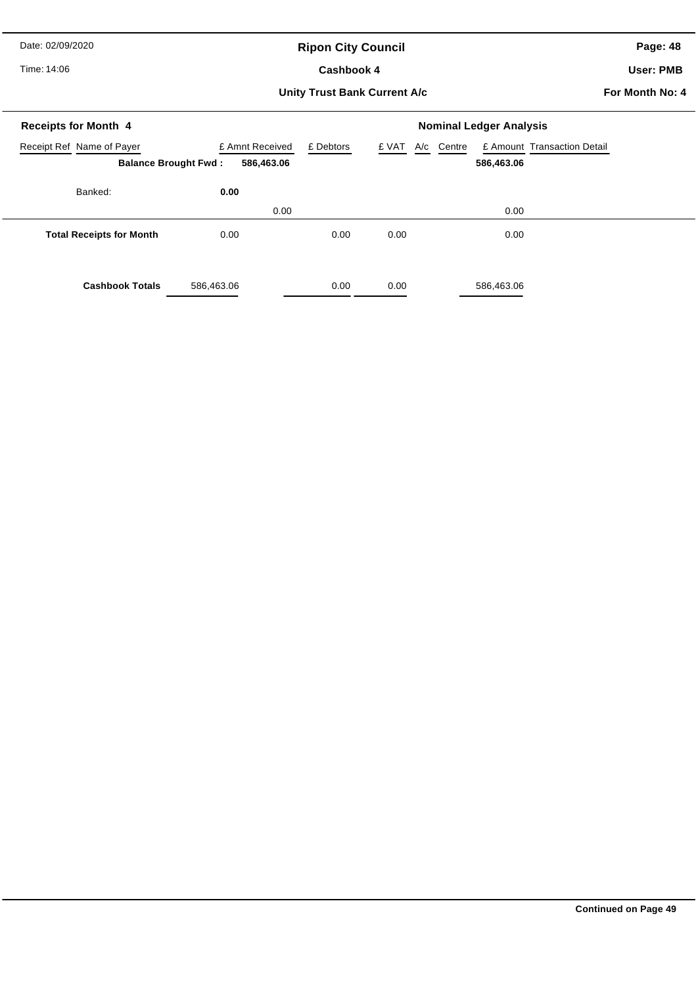Date: 02/09/2020

# **Ripon City Council**

Time: 14:06

#### Cashbook 4

**Page: 48**

**User: PMB**

#### **Unity Trust Bank Current A/c**

**For Month No: 4**

| <b>Receipts for Month 4</b>                              |                               | <b>Nominal Ledger Analysis</b> |              |                                                     |  |  |
|----------------------------------------------------------|-------------------------------|--------------------------------|--------------|-----------------------------------------------------|--|--|
| Receipt Ref Name of Payer<br><b>Balance Brought Fwd:</b> | £ Amnt Received<br>586,463.06 | £ Debtors                      | £ VAT<br>A/c | Centre<br>£ Amount Transaction Detail<br>586,463.06 |  |  |
| Banked:                                                  | 0.00<br>0.00                  |                                |              | 0.00                                                |  |  |
| <b>Total Receipts for Month</b>                          | 0.00                          | 0.00                           | 0.00         | 0.00                                                |  |  |
| <b>Cashbook Totals</b>                                   | 586,463.06                    | 0.00                           | 0.00         | 586,463.06                                          |  |  |